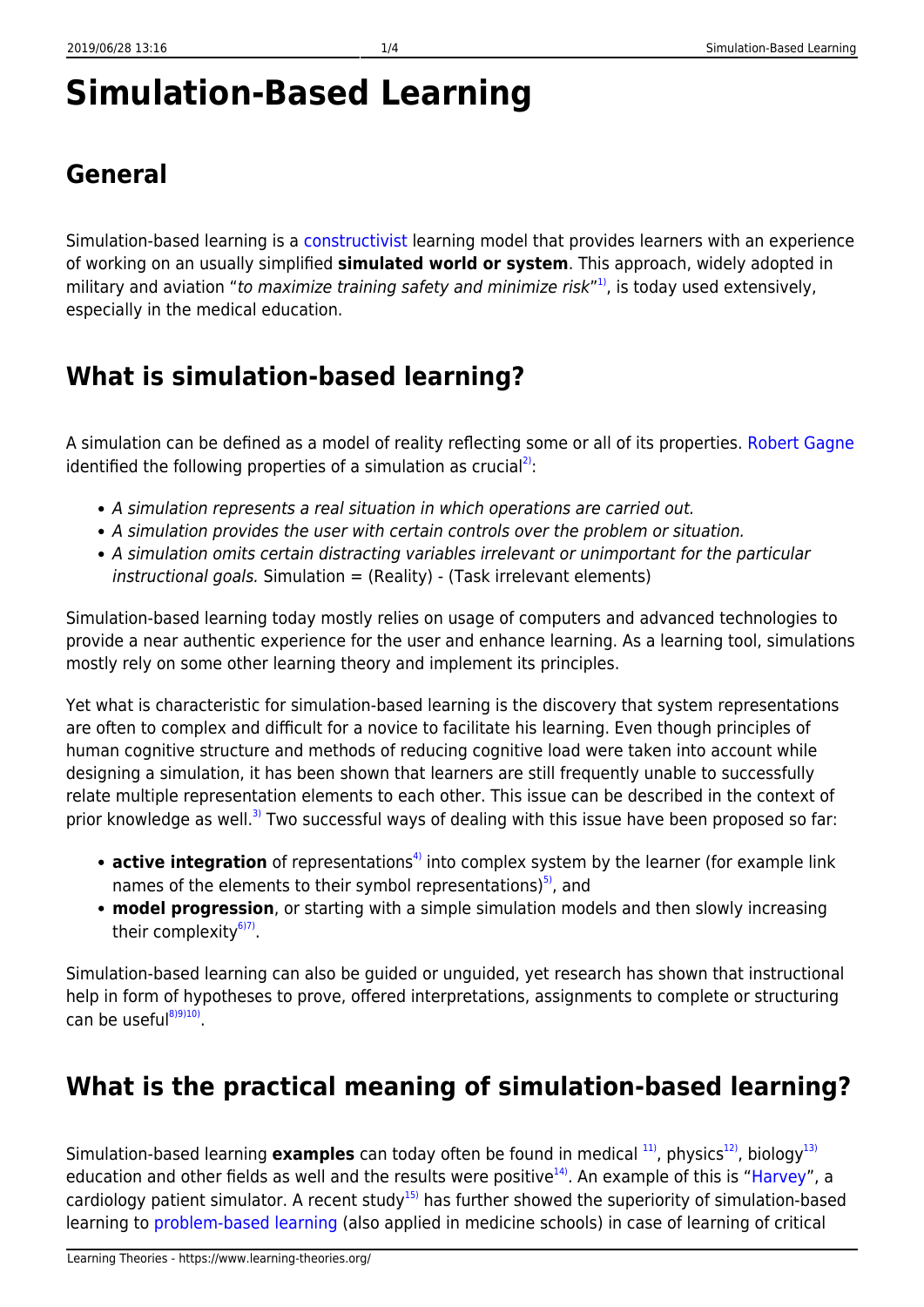# **Simulation-Based Learning**

## **General**

Simulation-based learning is a [constructivist](https://www.learning-theories.org/doku.php?id=learning_paradigms:constructivism) learning model that provides learners with an experience of working on an usually simplified **simulated world or system**. This approach, widely adopted in military and aviation "to maximize training safety and minimize risk"<sup>[1\)](#page--1-0)</sup>, is today used extensively, especially in the medical education.

## **What is simulation-based learning?**

A simulation can be defined as a model of reality reflecting some or all of its properties. [Robert Gagne](http://www.ibstpi.org/Products/pdf/appendix_A-C.pdf) identified the following properties of a simulation as crucial<sup>[2\)](#page--1-0)</sup>:

- A simulation represents a real situation in which operations are carried out.
- A simulation provides the user with certain controls over the problem or situation.
- A simulation omits certain distracting variables irrelevant or unimportant for the particular  $instructional goals.$  Simulation = (Reality) - (Task irrelevant elements)

Simulation-based learning today mostly relies on usage of computers and advanced technologies to provide a near authentic experience for the user and enhance learning. As a learning tool, simulations mostly rely on some other learning theory and implement its principles.

Yet what is characteristic for simulation-based learning is the discovery that system representations are often to complex and difficult for a novice to facilitate his learning. Even though principles of human cognitive structure and methods of reducing cognitive load were taken into account while designing a simulation, it has been shown that learners are still frequently unable to successfully relate multiple representation elements to each other. This issue can be described in the context of prior knowledge as well.<sup>[3\)](#page--1-0)</sup> Two successful ways of dealing with this issue have been proposed so far:

- **active integration** of representations<sup>[4\)](#page--1-0)</sup> into complex system by the learner (for example link names of the elements to their symbol representations) $5$ , and
- **model progression**, or starting with a simple simulation models and then slowly increasing their complexity<sup>[6\)7\)](#page--1-0)</sup>.

Simulation-based learning can also be guided or unguided, yet research has shown that instructional help in form of hypotheses to prove, offered interpretations, assignments to complete or structuring can be useful<sup>[8\)9\)10\)](#page--1-0)</sup>.

#### **What is the practical meaning of simulation-based learning?**

Simulation-based learning **examples** can today often be found in medical <sup>11</sup>, physics<sup>12</sup>, biology<sup>[13\)](#page--1-0)</sup> education and other fields as well and the results were positive<sup>14</sup>. An example of this is ["Harvey"](http://library.nymc.edu/HARVEY/harvey.cfm), a cardiology patient simulator. A recent study<sup>[15\)](#page--1-0)</sup> has further showed the superiority of simulation-based learning to [problem-based learning](https://www.learning-theories.org/doku.php?id=instructional_design:problem-based_learning) (also applied in medicine schools) in case of learning of critical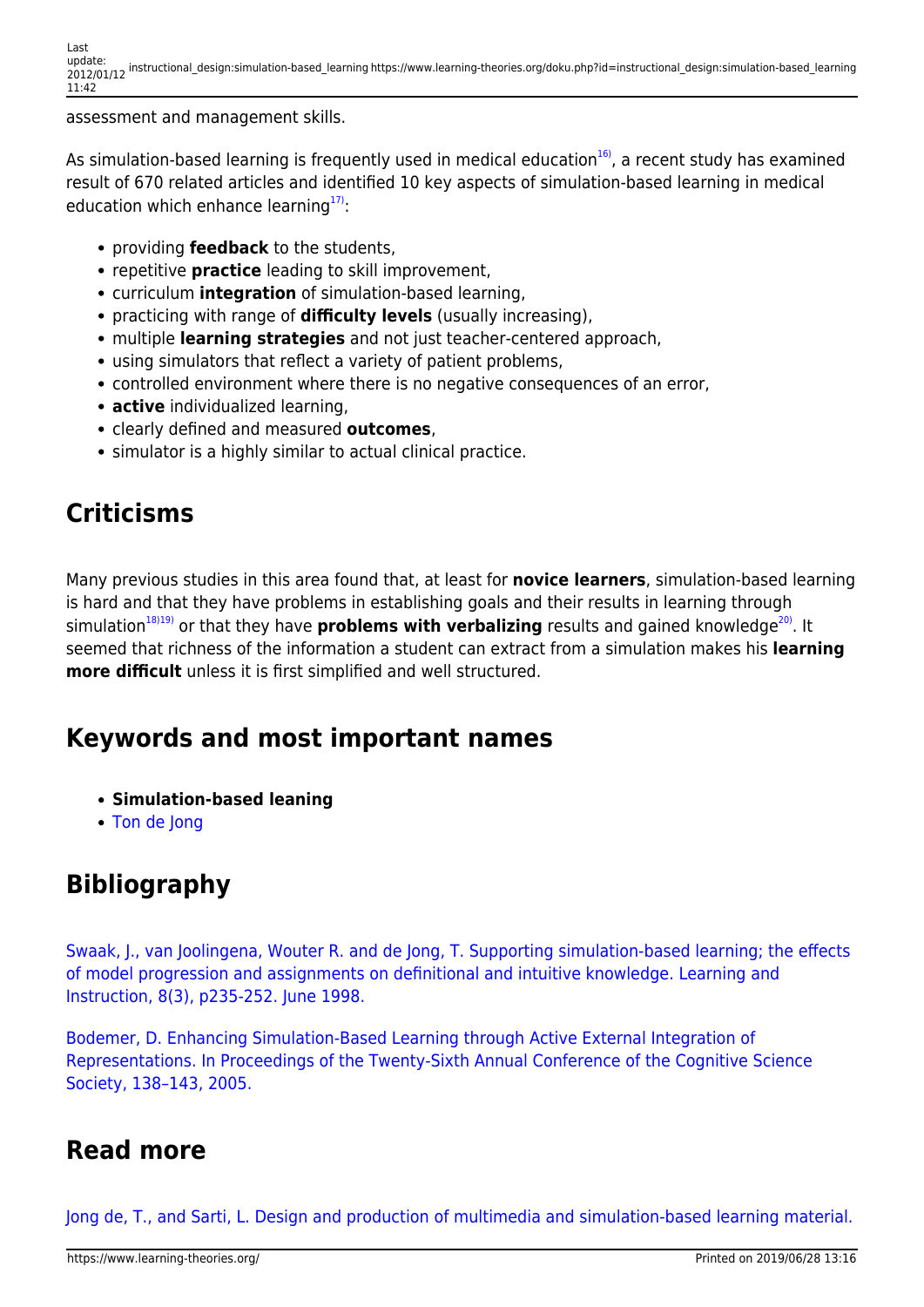assessment and management skills.

As simulation-based learning is frequently used in medical education $16$ , a recent study has examined result of 670 related articles and identified 10 key aspects of simulation-based learning in medical education which enhance learning $17$ :

- **providing feedback** to the students,
- **repetitive practice** leading to skill improvement.
- curriculum **integration** of simulation-based learning,
- practicing with range of **difficulty levels** (usually increasing),
- multiple **learning strategies** and not just teacher-centered approach,
- using simulators that reflect a variety of patient problems,
- controlled environment where there is no negative consequences of an error,
- **active** individualized learning,
- clearly defined and measured **outcomes**,
- simulator is a highly similar to actual clinical practice.

## **Criticisms**

Many previous studies in this area found that, at least for **novice learners**, simulation-based learning is hard and that they have problems in establishing goals and their results in learning through simulation<sup>[18\)19\)](#page--1-0)</sup> or that they have **problems with verbalizing** results and gained knowledge<sup>[20\)](#page--1-0)</sup>. It seemed that richness of the information a student can extract from a simulation makes his **learning more difficult** unless it is first simplified and well structured.

#### **Keywords and most important names**

- **Simulation-based leaning**
- [Ton de Jong](http://users.edte.utwente.nl/jong/)

#### **Bibliography**

[Swaak, J., van Joolingena, Wouter R. and de Jong, T. Supporting simulation-based learning; the effects](http://www.eric.ed.gov/ERICWebPortal/contentdelivery/servlet/ERICServlet?accno=ED398900) [of model progression and assignments on definitional and intuitive knowledge. Learning and](http://www.eric.ed.gov/ERICWebPortal/contentdelivery/servlet/ERICServlet?accno=ED398900) [Instruction, 8\(3\), p235-252. June 1998.](http://www.eric.ed.gov/ERICWebPortal/contentdelivery/servlet/ERICServlet?accno=ED398900)

[Bodemer, D. Enhancing Simulation-Based Learning through Active External Integration of](http://www.cogsci.northwestern.edu/cogsci2004/papers/paper228.pdf) [Representations. In Proceedings of the Twenty-Sixth Annual Conference of the Cognitive Science](http://www.cogsci.northwestern.edu/cogsci2004/papers/paper228.pdf) [Society, 138–143, 2005.](http://www.cogsci.northwestern.edu/cogsci2004/papers/paper228.pdf)

#### **Read more**

[Jong de, T., and Sarti, L. Design and production of multimedia and simulation-based learning material.](http://books.google.hr/books?id=AQUN0StHHPIC&printsec=frontcover&dq=Design+and+production+of+multimedia+and+simulation-based+learning+material&hl=hr&ei=4snHTeOVI8ztOaik6fYB&sa=X&oi=book_result&ct=result&resnum=1&ved=0CCgQ6AEwAA#v=onepage&q&f=false)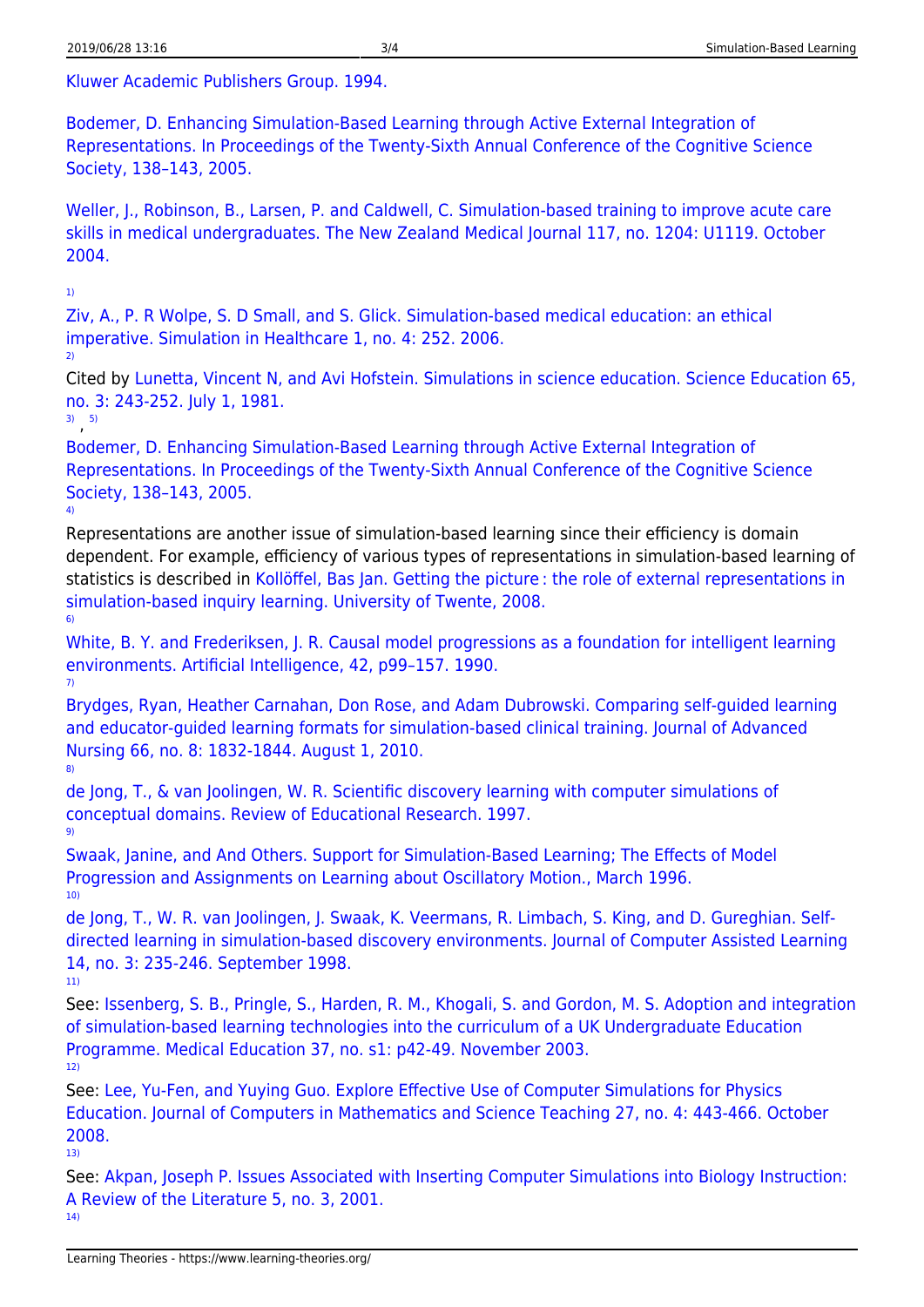[Kluwer Academic Publishers Group. 1994.](http://books.google.hr/books?id=AQUN0StHHPIC&printsec=frontcover&dq=Design+and+production+of+multimedia+and+simulation-based+learning+material&hl=hr&ei=4snHTeOVI8ztOaik6fYB&sa=X&oi=book_result&ct=result&resnum=1&ved=0CCgQ6AEwAA#v=onepage&q&f=false)

[Bodemer, D. Enhancing Simulation-Based Learning through Active External Integration of](http://www.cogsci.northwestern.edu/cogsci2004/papers/paper228.pdf) [Representations. In Proceedings of the Twenty-Sixth Annual Conference of the Cognitive Science](http://www.cogsci.northwestern.edu/cogsci2004/papers/paper228.pdf) [Society, 138–143, 2005.](http://www.cogsci.northwestern.edu/cogsci2004/papers/paper228.pdf)

[Weller, J., Robinson, B., Larsen, P. and Caldwell, C. Simulation-based training to improve acute care](https://researchspace.auckland.ac.nz/bitstream/handle/2292/4672/15505666.pdf?sequence=1) [skills in medical undergraduates. The New Zealand Medical Journal 117, no. 1204: U1119. October](https://researchspace.auckland.ac.nz/bitstream/handle/2292/4672/15505666.pdf?sequence=1) [2004.](https://researchspace.auckland.ac.nz/bitstream/handle/2292/4672/15505666.pdf?sequence=1)

[1\)](#page--1-0)

[Ziv, A., P. R Wolpe, S. D Small, and S. Glick. Simulation-based medical education: an ethical](https://aap.org/nrp/simulation/Ethics.pdf) [imperative. Simulation in Healthcare 1, no. 4: 252. 2006.](https://aap.org/nrp/simulation/Ethics.pdf) [2\)](#page--1-0)

Cited by [Lunetta, Vincent N, and Avi Hofstein. Simulations in science education. Science Education 65,](http://onlinelibrary.wiley.com/doi/10.1002/sce.3730650302/abstract) [no. 3: 243-252. July 1, 1981.](http://onlinelibrary.wiley.com/doi/10.1002/sce.3730650302/abstract)

[3\)](#page--1-0) , [5\)](#page--1-0)

[Bodemer, D. Enhancing Simulation-Based Learning through Active External Integration of](http://www.cogsci.northwestern.edu/cogsci2004/papers/paper228.pdf) [Representations. In Proceedings of the Twenty-Sixth Annual Conference of the Cognitive Science](http://www.cogsci.northwestern.edu/cogsci2004/papers/paper228.pdf) [Society, 138–143, 2005.](http://www.cogsci.northwestern.edu/cogsci2004/papers/paper228.pdf) [4\)](#page--1-0)

Representations are another issue of simulation-based learning since their efficiency is domain dependent. For example, efficiency of various types of representations in simulation-based learning of statistics is described in [Kollöffel, Bas Jan. Getting the picture : the role of external representations in](http://doc.utwente.nl/60341/1/thesis_B_Kolloffel.pdf) [simulation-based inquiry learning. University of Twente, 2008.](http://doc.utwente.nl/60341/1/thesis_B_Kolloffel.pdf)

[6\)](#page--1-0)

[White, B. Y. and Frederiksen, J. R. Causal model progressions as a foundation for intelligent learning](http://eksl.isi.edu/files/library/White_Frederiksen-1990-causal-model-progressions.pdf) [environments. Artificial Intelligence, 42, p99–157. 1990.](http://eksl.isi.edu/files/library/White_Frederiksen-1990-causal-model-progressions.pdf) [7\)](#page--1-0)

[Brydges, Ryan, Heather Carnahan, Don Rose, and Adam Dubrowski. Comparing self‐guided learning](http://onlinelibrary.wiley.com/doi/10.1111/j.1365-2648.2010.05338.x/abstract) [and educator‐guided learning formats for simulation‐based clinical training. Journal of Advanced](http://onlinelibrary.wiley.com/doi/10.1111/j.1365-2648.2010.05338.x/abstract) [Nursing 66, no. 8: 1832-1844. August 1, 2010.](http://onlinelibrary.wiley.com/doi/10.1111/j.1365-2648.2010.05338.x/abstract) [8\)](#page--1-0)

[de Jong, T., & van Joolingen, W. R. Scientific discovery learning with computer simulations of](http://tecfa.unige.ch/tecfa/teaching/aei/papiers/deJong.pdf) [conceptual domains. Review of Educational Research. 1997.](http://tecfa.unige.ch/tecfa/teaching/aei/papiers/deJong.pdf) [9\)](#page--1-0)

[Swaak, Janine, and And Others. Support for Simulation-Based Learning; The Effects of Model](http://www.eric.ed.gov/PDFS/ED398900.pdf) [Progression and Assignments on Learning about Oscillatory Motion., March 1996.](http://www.eric.ed.gov/PDFS/ED398900.pdf) [10\)](#page--1-0)

[de Jong, T., W. R. van Joolingen, J. Swaak, K. Veermans, R. Limbach, S. King, and D. Gureghian. Self](http://onlinelibrary.wiley.com/doi/10.1046/j.1365-2729.1998.143060.x/pdf)[directed learning in simulation-based discovery environments. Journal of Computer Assisted Learning](http://onlinelibrary.wiley.com/doi/10.1046/j.1365-2729.1998.143060.x/pdf) [14, no. 3: 235-246. September 1998.](http://onlinelibrary.wiley.com/doi/10.1046/j.1365-2729.1998.143060.x/pdf)

[11\)](#page--1-0)

See: [Issenberg, S. B., Pringle, S., Harden, R. M., Khogali, S. and Gordon, M. S. Adoption and integration](http://onlinelibrary.wiley.com/doi/10.1046/j.1365-2923.37.s1.10.x/full) [of simulation-based learning technologies into the curriculum of a UK Undergraduate Education](http://onlinelibrary.wiley.com/doi/10.1046/j.1365-2923.37.s1.10.x/full) [Programme. Medical Education 37, no. s1: p42-49. November 2003.](http://onlinelibrary.wiley.com/doi/10.1046/j.1365-2923.37.s1.10.x/full) [12\)](#page--1-0)

See: [Lee, Yu-Fen, and Yuying Guo. Explore Effective Use of Computer Simulations for Physics](http://findarticles.com/p/articles/mi_hb1420/is_200810/ai_n32305315/?tag=mantle_skin;content) [Education. Journal of Computers in Mathematics and Science Teaching 27, no. 4: 443-466. October](http://findarticles.com/p/articles/mi_hb1420/is_200810/ai_n32305315/?tag=mantle_skin;content) [2008.](http://findarticles.com/p/articles/mi_hb1420/is_200810/ai_n32305315/?tag=mantle_skin;content) [13\)](#page--1-0)

See: [Akpan, Joseph P. Issues Associated with Inserting Computer Simulations into Biology Instruction:](http://wolfweb.unr.edu/homepage/crowther/ejse/akpan.html) [A Review of the Literature 5, no. 3, 2001.](http://wolfweb.unr.edu/homepage/crowther/ejse/akpan.html)